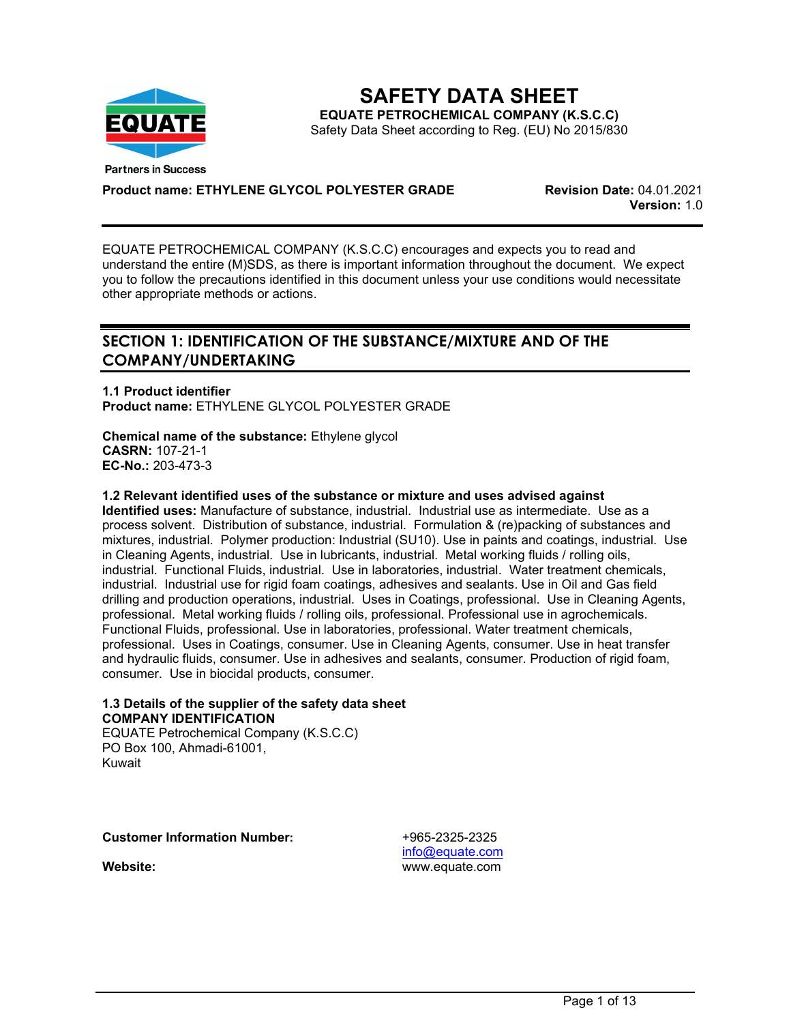

**SAFETY DATA SHEET EQUATE PETROCHEMICAL COMPANY (K.S.C.C)** Safety Data Sheet according to Reg. (EU) No 2015/830

**Product name: ETHYLENE GLYCOL POLYESTER GRADE Revision Date:** 04.01.2021

**Version:** 1.0

EQUATE PETROCHEMICAL COMPANY (K.S.C.C) encourages and expects you to read and understand the entire (M)SDS, as there is important information throughout the document. We expect you to follow the precautions identified in this document unless your use conditions would necessitate other appropriate methods or actions.

# **SECTION 1: IDENTIFICATION OF THE SUBSTANCE/MIXTURE AND OF THE COMPANY/UNDERTAKING**

**1.1 Product identifier Product name:** ETHYLENE GLYCOL POLYESTER GRADE

**Chemical name of the substance:** Ethylene glycol **CASRN:** 107-21-1 **EC-No.:** 203-473-3

### **1.2 Relevant identified uses of the substance or mixture and uses advised against**

**Identified uses:** Manufacture of substance, industrial. Industrial use as intermediate. Use as a process solvent. Distribution of substance, industrial. Formulation & (re)packing of substances and mixtures, industrial. Polymer production: Industrial (SU10). Use in paints and coatings, industrial. Use in Cleaning Agents, industrial. Use in lubricants, industrial. Metal working fluids / rolling oils, industrial. Functional Fluids, industrial. Use in laboratories, industrial. Water treatment chemicals, industrial. Industrial use for rigid foam coatings, adhesives and sealants. Use in Oil and Gas field drilling and production operations, industrial. Uses in Coatings, professional. Use in Cleaning Agents, professional. Metal working fluids / rolling oils, professional. Professional use in agrochemicals. Functional Fluids, professional. Use in laboratories, professional. Water treatment chemicals, professional. Uses in Coatings, consumer. Use in Cleaning Agents, consumer. Use in heat transfer and hydraulic fluids, consumer. Use in adhesives and sealants, consumer. Production of rigid foam, consumer. Use in biocidal products, consumer.

### **1.3 Details of the supplier of the safety data sheet COMPANY IDENTIFICATION**

EQUATE Petrochemical Company (K.S.C.C) PO Box 100, Ahmadi-61001, Kuwait

**Customer Information Number:** +965-2325-2325

[info@equate.com](mailto:info@equate.com) **Website:** www.equate.com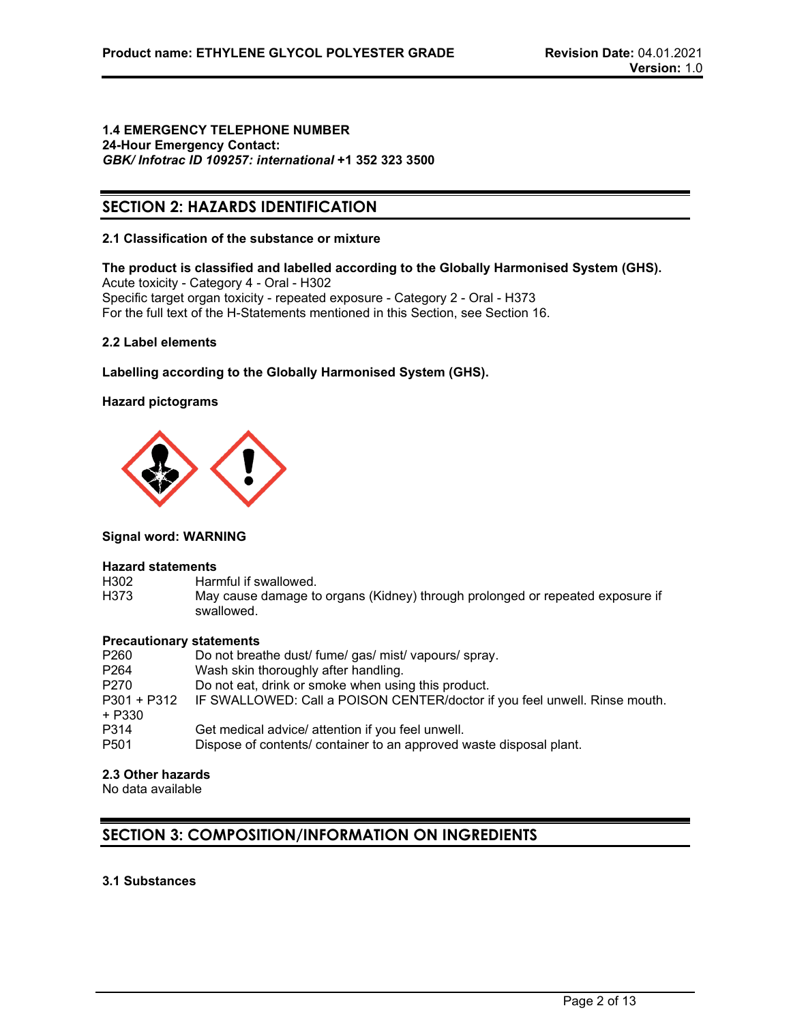#### **1.4 EMERGENCY TELEPHONE NUMBER 24-Hour Emergency Contact:** *GBK/ Infotrac ID 109257: international* **+1 352 323 3500**

# **SECTION 2: HAZARDS IDENTIFICATION**

### **2.1 Classification of the substance or mixture**

**The product is classified and labelled according to the Globally Harmonised System (GHS).** Acute toxicity - Category 4 - Oral - H302 Specific target organ toxicity - repeated exposure - Category 2 - Oral - H373 For the full text of the H-Statements mentioned in this Section, see Section 16.

# **2.2 Label elements**

**Labelling according to the Globally Harmonised System (GHS).**

# **Hazard pictograms**



### **Signal word: WARNING**

# **Hazard statements**

- H302 Harmful if swallowed.<br>H373 May cause damage to
- May cause damage to organs (Kidney) through prolonged or repeated exposure if swallowed.

# **Precautionary statements**

| P260                  | Do not breathe dust/ fume/ gas/ mist/ vapours/ spray.                      |
|-----------------------|----------------------------------------------------------------------------|
| P <sub>264</sub>      | Wash skin thoroughly after handling.                                       |
| P270                  | Do not eat, drink or smoke when using this product.                        |
| P301 + P312<br>+ P330 | IF SWALLOWED: Call a POISON CENTER/doctor if you feel unwell. Rinse mouth. |
| P314                  | Get medical advice/ attention if you feel unwell.                          |
| P <sub>501</sub>      | Dispose of contents/ container to an approved waste disposal plant.        |

# **2.3 Other hazards**

No data available

# **SECTION 3: COMPOSITION/INFORMATION ON INGREDIENTS**

# **3.1 Substances**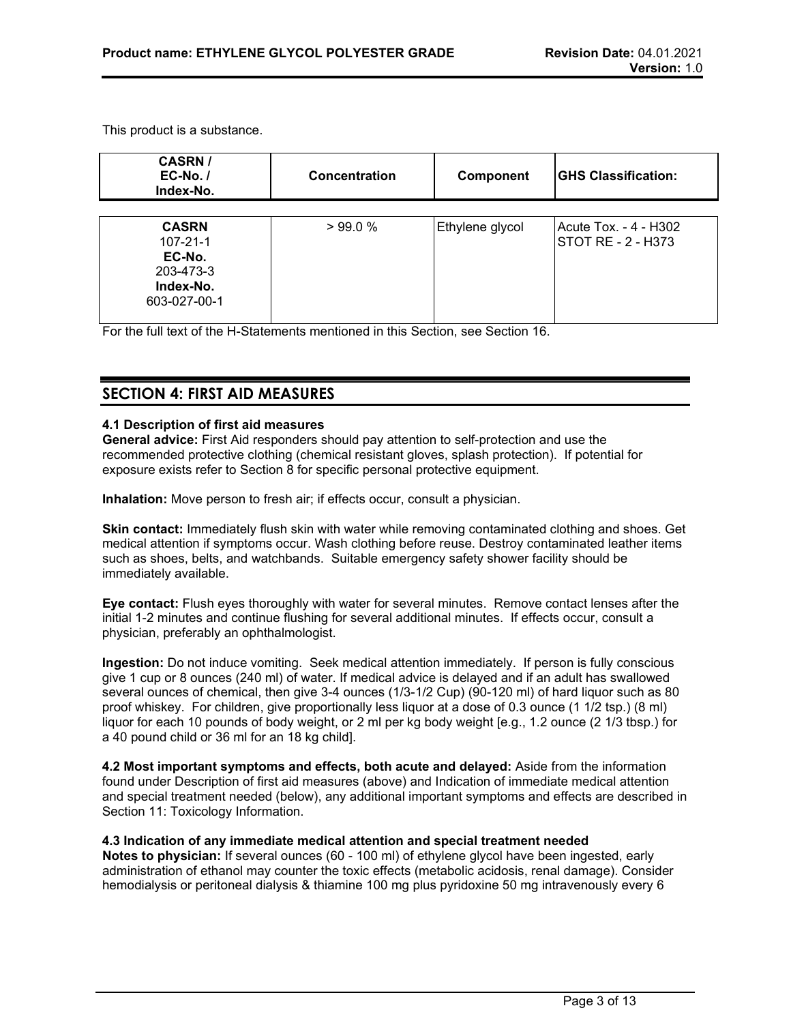This product is a substance.

| <b>CASRN/</b><br>$EC-No.$<br>Index-No.                                             | Concentration | <b>Component</b> | <b>IGHS Classification:</b>                 |
|------------------------------------------------------------------------------------|---------------|------------------|---------------------------------------------|
| <b>CASRN</b><br>$107 - 21 - 1$<br>EC-No.<br>203-473-3<br>Index-No.<br>603-027-00-1 | >99.0%        | Ethylene glycol  | Acute Tox. - 4 - H302<br>STOT RE - 2 - H373 |

For the full text of the H-Statements mentioned in this Section, see Section 16.

# **SECTION 4: FIRST AID MEASURES**

# **4.1 Description of first aid measures**

**General advice:** First Aid responders should pay attention to self-protection and use the recommended protective clothing (chemical resistant gloves, splash protection). If potential for exposure exists refer to Section 8 for specific personal protective equipment.

**Inhalation:** Move person to fresh air; if effects occur, consult a physician.

**Skin contact:** Immediately flush skin with water while removing contaminated clothing and shoes. Get medical attention if symptoms occur. Wash clothing before reuse. Destroy contaminated leather items such as shoes, belts, and watchbands. Suitable emergency safety shower facility should be immediately available.

**Eye contact:** Flush eyes thoroughly with water for several minutes. Remove contact lenses after the initial 1-2 minutes and continue flushing for several additional minutes. If effects occur, consult a physician, preferably an ophthalmologist.

**Ingestion:** Do not induce vomiting. Seek medical attention immediately. If person is fully conscious give 1 cup or 8 ounces (240 ml) of water. If medical advice is delayed and if an adult has swallowed several ounces of chemical, then give 3-4 ounces (1/3-1/2 Cup) (90-120 ml) of hard liquor such as 80 proof whiskey. For children, give proportionally less liquor at a dose of 0.3 ounce (1 1/2 tsp.) (8 ml) liquor for each 10 pounds of body weight, or 2 ml per kg body weight [e.g., 1.2 ounce (2 1/3 tbsp.) for a 40 pound child or 36 ml for an 18 kg child].

**4.2 Most important symptoms and effects, both acute and delayed:** Aside from the information found under Description of first aid measures (above) and Indication of immediate medical attention and special treatment needed (below), any additional important symptoms and effects are described in Section 11: Toxicology Information.

### **4.3 Indication of any immediate medical attention and special treatment needed**

**Notes to physician:** If several ounces (60 - 100 ml) of ethylene glycol have been ingested, early administration of ethanol may counter the toxic effects (metabolic acidosis, renal damage). Consider hemodialysis or peritoneal dialysis & thiamine 100 mg plus pyridoxine 50 mg intravenously every 6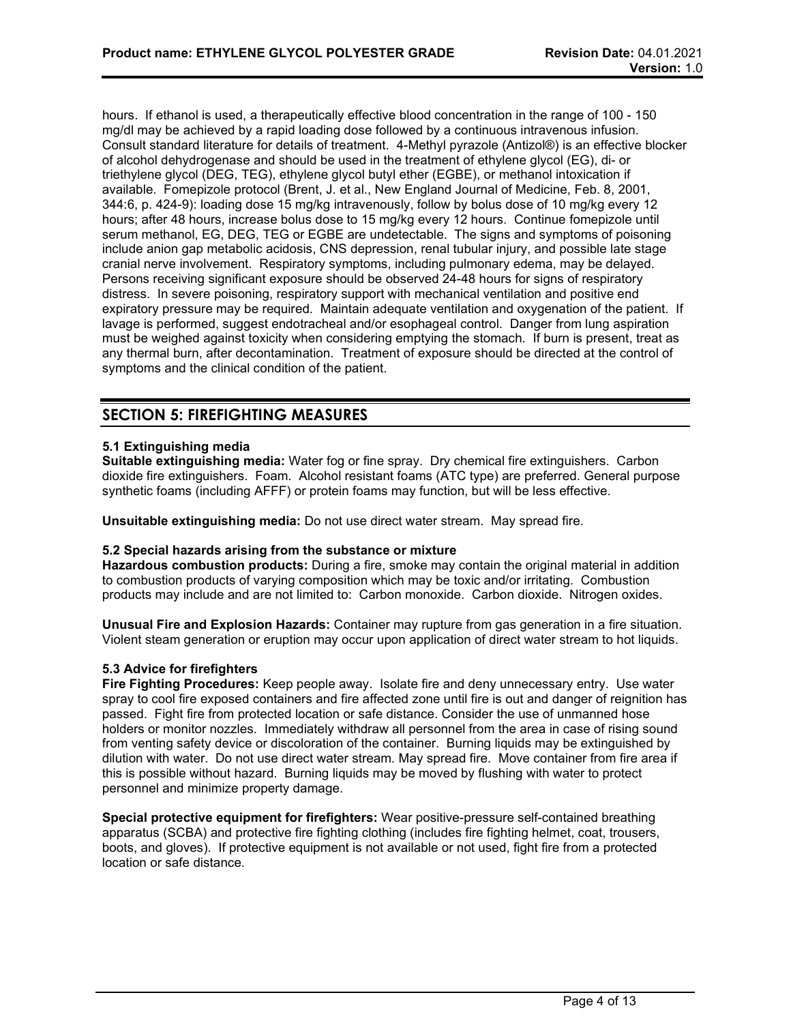hours. If ethanol is used, a therapeutically effective blood concentration in the range of 100 - 150 mg/dl may be achieved by a rapid loading dose followed by a continuous intravenous infusion. Consult standard literature for details of treatment. 4-Methyl pyrazole (Antizol®) is an effective blocker of alcohol dehydrogenase and should be used in the treatment of ethylene glycol (EG), di- or triethylene glycol (DEG, TEG), ethylene glycol butyl ether (EGBE), or methanol intoxication if available. Fomepizole protocol (Brent, J. et al., New England Journal of Medicine, Feb. 8, 2001, 344:6, p. 424-9): loading dose 15 mg/kg intravenously, follow by bolus dose of 10 mg/kg every 12 hours; after 48 hours, increase bolus dose to 15 mg/kg every 12 hours. Continue fomepizole until serum methanol, EG, DEG, TEG or EGBE are undetectable. The signs and symptoms of poisoning include anion gap metabolic acidosis, CNS depression, renal tubular injury, and possible late stage cranial nerve involvement. Respiratory symptoms, including pulmonary edema, may be delayed. Persons receiving significant exposure should be observed 24-48 hours for signs of respiratory distress. In severe poisoning, respiratory support with mechanical ventilation and positive end expiratory pressure may be required. Maintain adequate ventilation and oxygenation of the patient. If lavage is performed, suggest endotracheal and/or esophageal control. Danger from lung aspiration must be weighed against toxicity when considering emptying the stomach. If burn is present, treat as any thermal burn, after decontamination. Treatment of exposure should be directed at the control of symptoms and the clinical condition of the patient.

# **SECTION 5: FIREFIGHTING MEASURES**

# **5.1 Extinguishing media**

**Suitable extinguishing media:** Water fog or fine spray. Dry chemical fire extinguishers. Carbon dioxide fire extinguishers. Foam. Alcohol resistant foams (ATC type) are preferred. General purpose synthetic foams (including AFFF) or protein foams may function, but will be less effective.

**Unsuitable extinguishing media:** Do not use direct water stream. May spread fire.

### **5.2 Special hazards arising from the substance or mixture**

**Hazardous combustion products:** During a fire, smoke may contain the original material in addition to combustion products of varying composition which may be toxic and/or irritating. Combustion products may include and are not limited to: Carbon monoxide. Carbon dioxide. Nitrogen oxides.

**Unusual Fire and Explosion Hazards:** Container may rupture from gas generation in a fire situation. Violent steam generation or eruption may occur upon application of direct water stream to hot liquids.

### **5.3 Advice for firefighters**

**Fire Fighting Procedures:** Keep people away. Isolate fire and deny unnecessary entry. Use water spray to cool fire exposed containers and fire affected zone until fire is out and danger of reignition has passed. Fight fire from protected location or safe distance. Consider the use of unmanned hose holders or monitor nozzles. Immediately withdraw all personnel from the area in case of rising sound from venting safety device or discoloration of the container. Burning liquids may be extinguished by dilution with water. Do not use direct water stream. May spread fire. Move container from fire area if this is possible without hazard. Burning liquids may be moved by flushing with water to protect personnel and minimize property damage.

**Special protective equipment for firefighters:** Wear positive-pressure self-contained breathing apparatus (SCBA) and protective fire fighting clothing (includes fire fighting helmet, coat, trousers, boots, and gloves). If protective equipment is not available or not used, fight fire from a protected location or safe distance.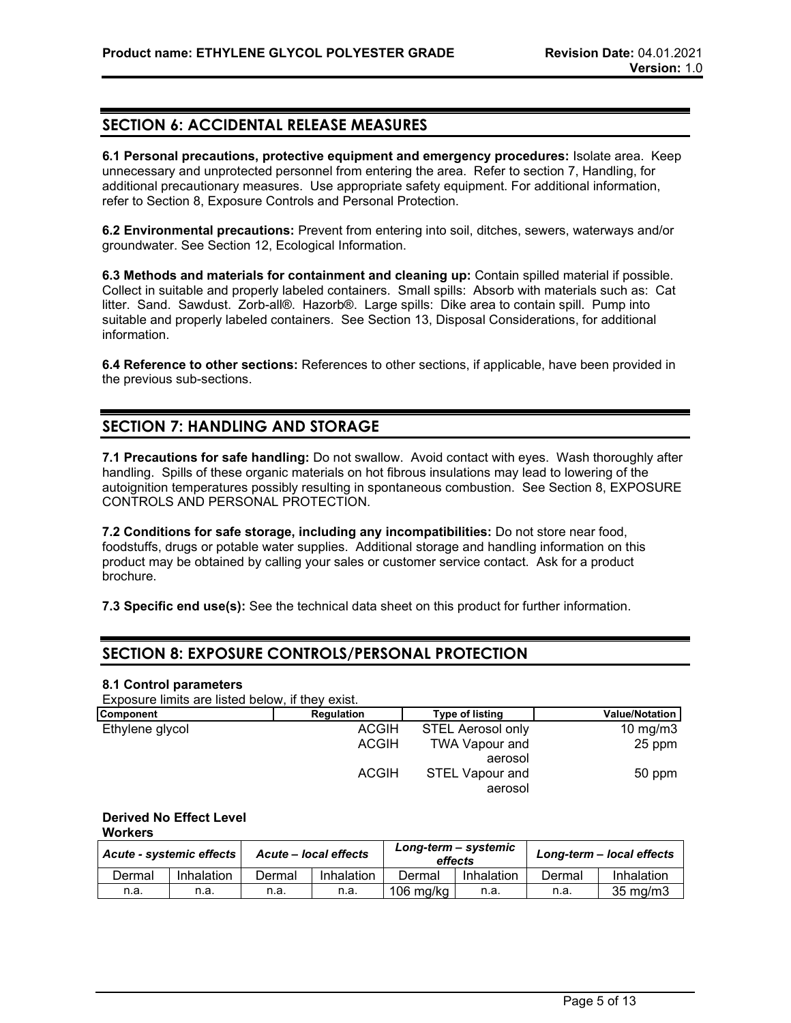# **SECTION 6: ACCIDENTAL RELEASE MEASURES**

**6.1 Personal precautions, protective equipment and emergency procedures:** Isolate area. Keep unnecessary and unprotected personnel from entering the area. Refer to section 7, Handling, for additional precautionary measures. Use appropriate safety equipment. For additional information, refer to Section 8, Exposure Controls and Personal Protection.

**6.2 Environmental precautions:** Prevent from entering into soil, ditches, sewers, waterways and/or groundwater. See Section 12, Ecological Information.

**6.3 Methods and materials for containment and cleaning up:** Contain spilled material if possible. Collect in suitable and properly labeled containers. Small spills: Absorb with materials such as: Cat litter. Sand. Sawdust. Zorb-all®. Hazorb®. Large spills: Dike area to contain spill. Pump into suitable and properly labeled containers. See Section 13, Disposal Considerations, for additional information.

**6.4 Reference to other sections:** References to other sections, if applicable, have been provided in the previous sub-sections.

# **SECTION 7: HANDLING AND STORAGE**

**7.1 Precautions for safe handling:** Do not swallow. Avoid contact with eyes. Wash thoroughly after handling. Spills of these organic materials on hot fibrous insulations may lead to lowering of the autoignition temperatures possibly resulting in spontaneous combustion. See Section 8, EXPOSURE CONTROLS AND PERSONAL PROTECTION.

**7.2 Conditions for safe storage, including any incompatibilities:** Do not store near food, foodstuffs, drugs or potable water supplies. Additional storage and handling information on this product may be obtained by calling your sales or customer service contact. Ask for a product brochure.

**7.3 Specific end use(s):** See the technical data sheet on this product for further information.

# **SECTION 8: EXPOSURE CONTROLS/PERSONAL PROTECTION**

#### **8.1 Control parameters**

Exposure limits are listed below, if they exist.

| Component       | Regulation   | <b>Type of listing</b>   | <b>Value/Notation</b> |
|-----------------|--------------|--------------------------|-----------------------|
| Ethylene glycol | <b>ACGIH</b> | <b>STEL Aerosol only</b> | 10 mg/m $3$           |
|                 | <b>ACGIH</b> | <b>TWA Vapour and</b>    | 25 ppm                |
|                 |              | aerosol                  |                       |
|                 | <b>ACGIH</b> | <b>STEL Vapour and</b>   | 50 ppm                |
|                 |              | aerosol                  |                       |

#### **Derived No Effect Level Workers**

*Acute - systemic effects Acute – local effects Long-term – systemic effects Long-term – local effects* Dermal Inhalation Dermal Inhalation Dermal Inhalation Dermal Inhalation n.a. | n.a. | n.a. | n.a. |106 mg/kg | n.a. | n.a. | 35 mg/m3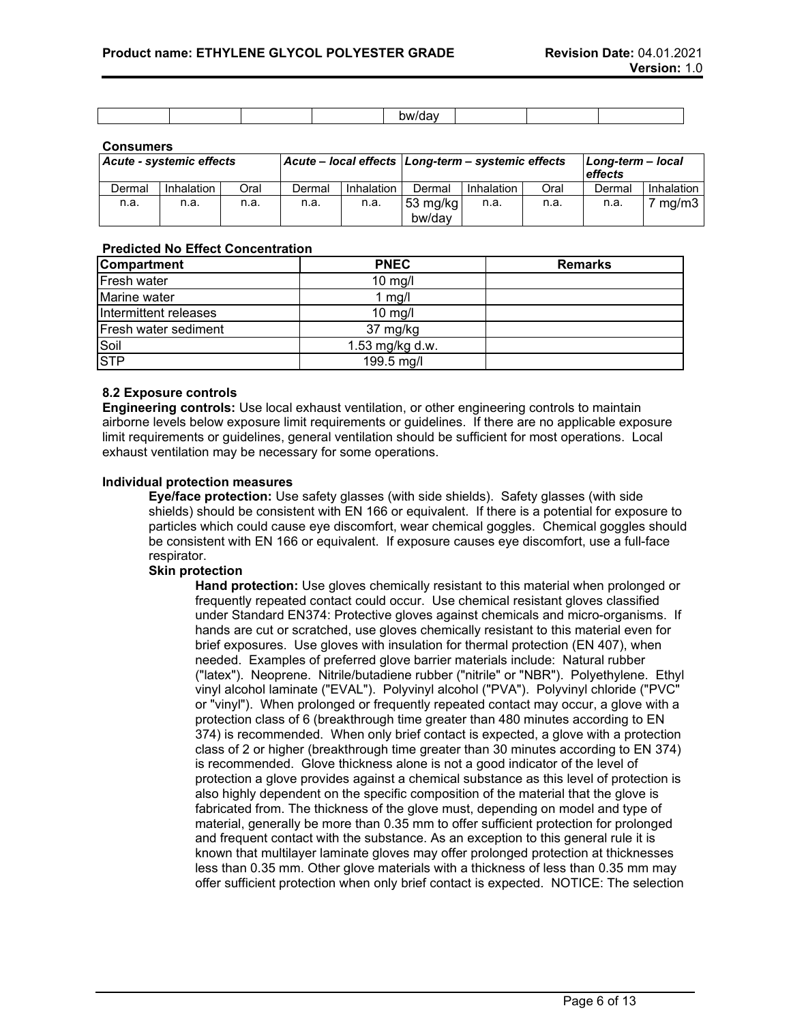|  |  | `\\^\/ <i>\</i> |  |  |
|--|--|-----------------|--|--|

#### **Consumers**

| Acute - systemic effects |            |      |        | Acute - local effects   Long-term - systemic effects |                    |            | Long-term - local<br>effects |        |                  |
|--------------------------|------------|------|--------|------------------------------------------------------|--------------------|------------|------------------------------|--------|------------------|
| Dermal                   | Inhalation | Oral | Dermal | Inhalation                                           | Dermal             | Inhalation | Oral                         | Dermal | Inhalation I     |
| n.a.                     | n.a.       | n.a. | n.a.   | n.a.                                                 | 53 mg/kg<br>bw/dav | n.a.       | n.a.                         | n.a.   | $7 \text{ mg/m}$ |

### **Predicted No Effect Concentration**

| <b>Compartment</b>    | <b>PNEC</b>     | <b>Remarks</b> |
|-----------------------|-----------------|----------------|
| <b>Fresh water</b>    | $10$ mg/l       |                |
| Marine water          | 1 mg/l          |                |
| Intermittent releases | $10$ mg/l       |                |
| Fresh water sediment  | 37 mg/kg        |                |
| Soil                  | 1.53 mg/kg d.w. |                |
| <b>STP</b>            | 199.5 mg/l      |                |

### **8.2 Exposure controls**

**Engineering controls:** Use local exhaust ventilation, or other engineering controls to maintain airborne levels below exposure limit requirements or guidelines. If there are no applicable exposure limit requirements or guidelines, general ventilation should be sufficient for most operations. Local exhaust ventilation may be necessary for some operations.

#### **Individual protection measures**

**Eye/face protection:** Use safety glasses (with side shields). Safety glasses (with side shields) should be consistent with EN 166 or equivalent. If there is a potential for exposure to particles which could cause eye discomfort, wear chemical goggles. Chemical goggles should be consistent with EN 166 or equivalent. If exposure causes eye discomfort, use a full-face respirator.

#### **Skin protection**

**Hand protection:** Use gloves chemically resistant to this material when prolonged or frequently repeated contact could occur. Use chemical resistant gloves classified under Standard EN374: Protective gloves against chemicals and micro-organisms. If hands are cut or scratched, use gloves chemically resistant to this material even for brief exposures. Use gloves with insulation for thermal protection (EN 407), when needed. Examples of preferred glove barrier materials include: Natural rubber ("latex"). Neoprene. Nitrile/butadiene rubber ("nitrile" or "NBR"). Polyethylene. Ethyl vinyl alcohol laminate ("EVAL"). Polyvinyl alcohol ("PVA"). Polyvinyl chloride ("PVC" or "vinyl"). When prolonged or frequently repeated contact may occur, a glove with a protection class of 6 (breakthrough time greater than 480 minutes according to EN 374) is recommended. When only brief contact is expected, a glove with a protection class of 2 or higher (breakthrough time greater than 30 minutes according to EN 374) is recommended. Glove thickness alone is not a good indicator of the level of protection a glove provides against a chemical substance as this level of protection is also highly dependent on the specific composition of the material that the glove is fabricated from. The thickness of the glove must, depending on model and type of material, generally be more than 0.35 mm to offer sufficient protection for prolonged and frequent contact with the substance. As an exception to this general rule it is known that multilayer laminate gloves may offer prolonged protection at thicknesses less than 0.35 mm. Other glove materials with a thickness of less than 0.35 mm may offer sufficient protection when only brief contact is expected. NOTICE: The selection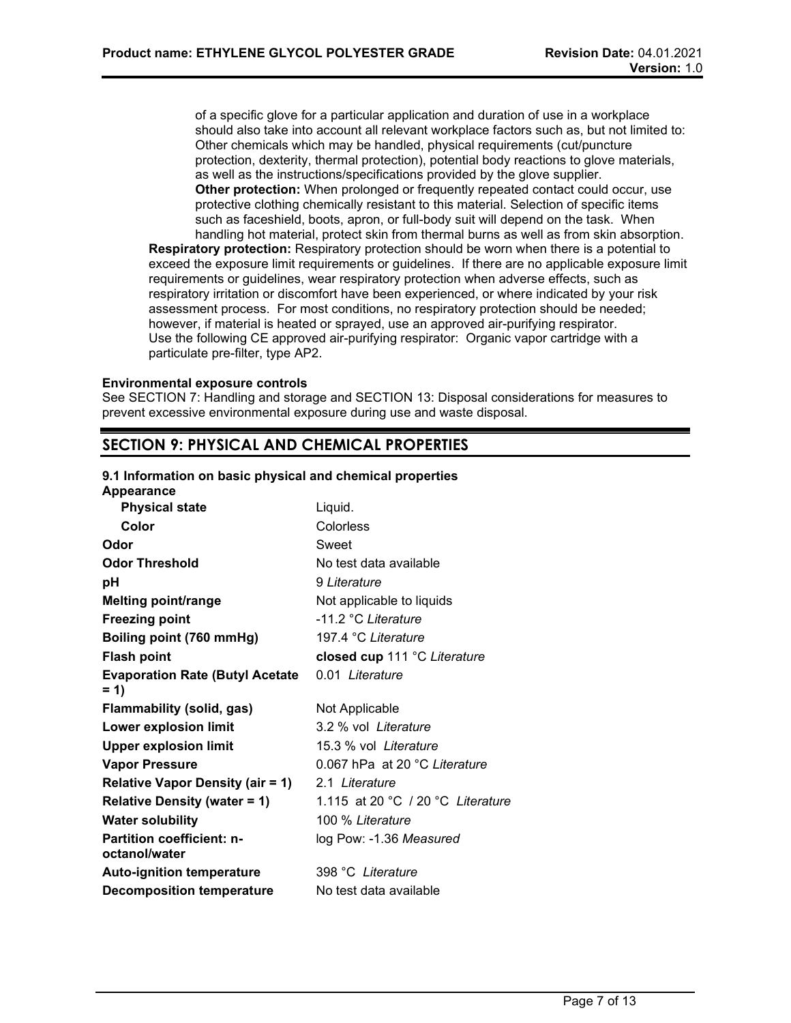of a specific glove for a particular application and duration of use in a workplace should also take into account all relevant workplace factors such as, but not limited to: Other chemicals which may be handled, physical requirements (cut/puncture protection, dexterity, thermal protection), potential body reactions to glove materials, as well as the instructions/specifications provided by the glove supplier. **Other protection:** When prolonged or frequently repeated contact could occur, use protective clothing chemically resistant to this material. Selection of specific items such as faceshield, boots, apron, or full-body suit will depend on the task. When handling hot material, protect skin from thermal burns as well as from skin absorption.

**Respiratory protection:** Respiratory protection should be worn when there is a potential to exceed the exposure limit requirements or guidelines. If there are no applicable exposure limit requirements or guidelines, wear respiratory protection when adverse effects, such as respiratory irritation or discomfort have been experienced, or where indicated by your risk assessment process. For most conditions, no respiratory protection should be needed; however, if material is heated or sprayed, use an approved air-purifying respirator. Use the following CE approved air-purifying respirator: Organic vapor cartridge with a particulate pre-filter, type AP2.

#### **Environmental exposure controls**

See SECTION 7: Handling and storage and SECTION 13: Disposal considerations for measures to prevent excessive environmental exposure during use and waste disposal.

# **SECTION 9: PHYSICAL AND CHEMICAL PROPERTIES**

# **9.1 Information on basic physical and chemical properties**

**Appearance Physical state Liquid. Color** Colorless **Odor** Sweet **Odor Threshold** No test data available **pH** 9 *Literature* **Melting point/range** Not applicable to liquids **Freezing point**  $-11.2 \degree$ C *Literature* **Boiling point (760 mmHg)** 197.4 °C *Literature* **Flash point closed cup** 111 °C *Literature* **Evaporation Rate (Butyl Acetate = 1)** 0.01 *Literature* **Flammability (solid, gas)** Not Applicable **Lower explosion limit** 3.2 % vol *Literature* **Upper explosion limit** 15.3 % vol *Literature* **Vapor Pressure** 0.067 hPa at 20 °C *Literature* **Relative Vapor Density (air = 1)** 2.1 *Literature* **Relative Density (water = 1)** 1.115 at 20 °C / 20 °C *Literature* **Water solubility** 100 % *Literature* **Partition coefficient: noctanol/water** log Pow: -1.36 *Measured* **Auto-ignition temperature** 398 °C *Literature* **Decomposition temperature** No test data available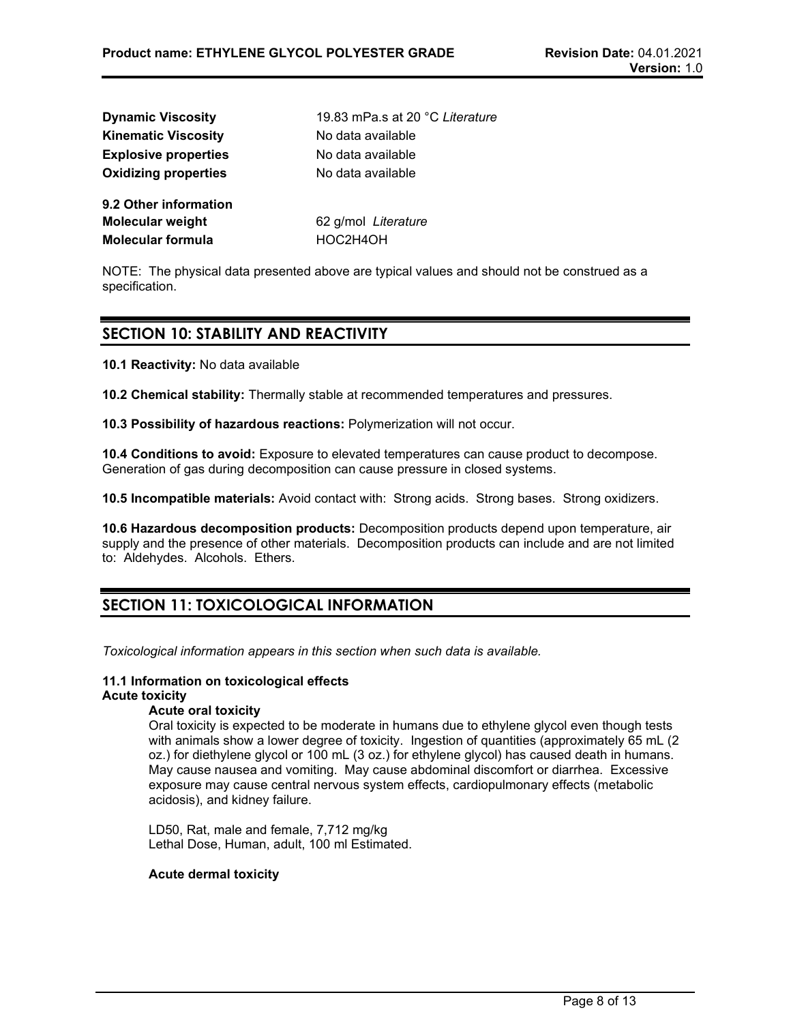| <b>Dynamic Viscosity</b>    | 19.83 mPa.s at 20 °C Literature |
|-----------------------------|---------------------------------|
| <b>Kinematic Viscosity</b>  | No data available               |
| <b>Explosive properties</b> | No data available               |
| <b>Oxidizing properties</b> | No data available               |
| 9.2 Other information       |                                 |
| Molecular weight            | 62 g/mol Literature             |
| Molecular formula           | HOC2H4OH                        |
|                             |                                 |

NOTE: The physical data presented above are typical values and should not be construed as a specification.

# **SECTION 10: STABILITY AND REACTIVITY**

**10.1 Reactivity:** No data available

**10.2 Chemical stability:** Thermally stable at recommended temperatures and pressures.

**10.3 Possibility of hazardous reactions:** Polymerization will not occur.

**10.4 Conditions to avoid:** Exposure to elevated temperatures can cause product to decompose. Generation of gas during decomposition can cause pressure in closed systems.

**10.5 Incompatible materials:** Avoid contact with: Strong acids. Strong bases. Strong oxidizers.

**10.6 Hazardous decomposition products:** Decomposition products depend upon temperature, air supply and the presence of other materials. Decomposition products can include and are not limited to: Aldehydes. Alcohols. Ethers.

# **SECTION 11: TOXICOLOGICAL INFORMATION**

*Toxicological information appears in this section when such data is available.*

# **11.1 Information on toxicological effects**

# **Acute toxicity**

# **Acute oral toxicity**

Oral toxicity is expected to be moderate in humans due to ethylene glycol even though tests with animals show a lower degree of toxicity. Ingestion of quantities (approximately 65 mL (2 oz.) for diethylene glycol or 100 mL (3 oz.) for ethylene glycol) has caused death in humans. May cause nausea and vomiting. May cause abdominal discomfort or diarrhea. Excessive exposure may cause central nervous system effects, cardiopulmonary effects (metabolic acidosis), and kidney failure.

LD50, Rat, male and female, 7,712 mg/kg Lethal Dose, Human, adult, 100 ml Estimated.

### **Acute dermal toxicity**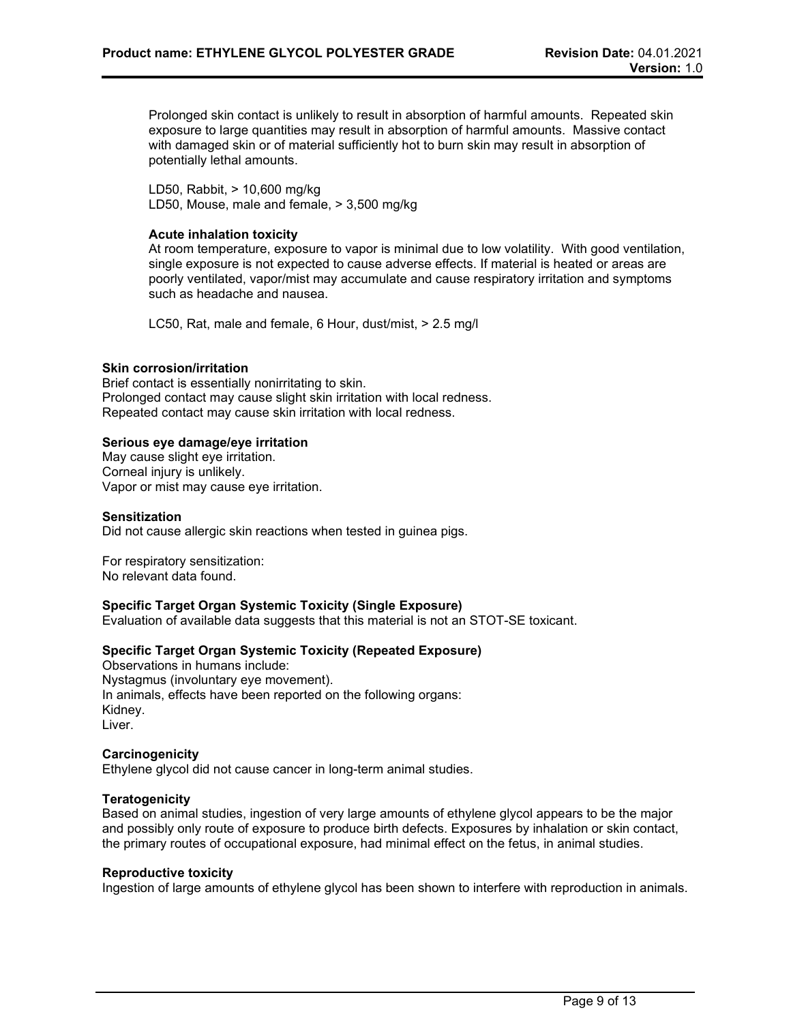Prolonged skin contact is unlikely to result in absorption of harmful amounts. Repeated skin exposure to large quantities may result in absorption of harmful amounts. Massive contact with damaged skin or of material sufficiently hot to burn skin may result in absorption of potentially lethal amounts.

LD50, Rabbit, > 10,600 mg/kg LD50, Mouse, male and female, > 3,500 mg/kg

### **Acute inhalation toxicity**

At room temperature, exposure to vapor is minimal due to low volatility. With good ventilation, single exposure is not expected to cause adverse effects. If material is heated or areas are poorly ventilated, vapor/mist may accumulate and cause respiratory irritation and symptoms such as headache and nausea.

LC50, Rat, male and female, 6 Hour, dust/mist, > 2.5 mg/l

#### **Skin corrosion/irritation**

Brief contact is essentially nonirritating to skin. Prolonged contact may cause slight skin irritation with local redness. Repeated contact may cause skin irritation with local redness.

#### **Serious eye damage/eye irritation**

May cause slight eye irritation. Corneal injury is unlikely. Vapor or mist may cause eye irritation.

#### **Sensitization**

Did not cause allergic skin reactions when tested in guinea pigs.

For respiratory sensitization: No relevant data found.

### **Specific Target Organ Systemic Toxicity (Single Exposure)**

Evaluation of available data suggests that this material is not an STOT-SE toxicant.

### **Specific Target Organ Systemic Toxicity (Repeated Exposure)**

Observations in humans include: Nystagmus (involuntary eye movement). In animals, effects have been reported on the following organs: Kidney. Liver.

#### **Carcinogenicity**

Ethylene glycol did not cause cancer in long-term animal studies.

# **Teratogenicity**

Based on animal studies, ingestion of very large amounts of ethylene glycol appears to be the major and possibly only route of exposure to produce birth defects. Exposures by inhalation or skin contact, the primary routes of occupational exposure, had minimal effect on the fetus, in animal studies.

#### **Reproductive toxicity**

Ingestion of large amounts of ethylene glycol has been shown to interfere with reproduction in animals.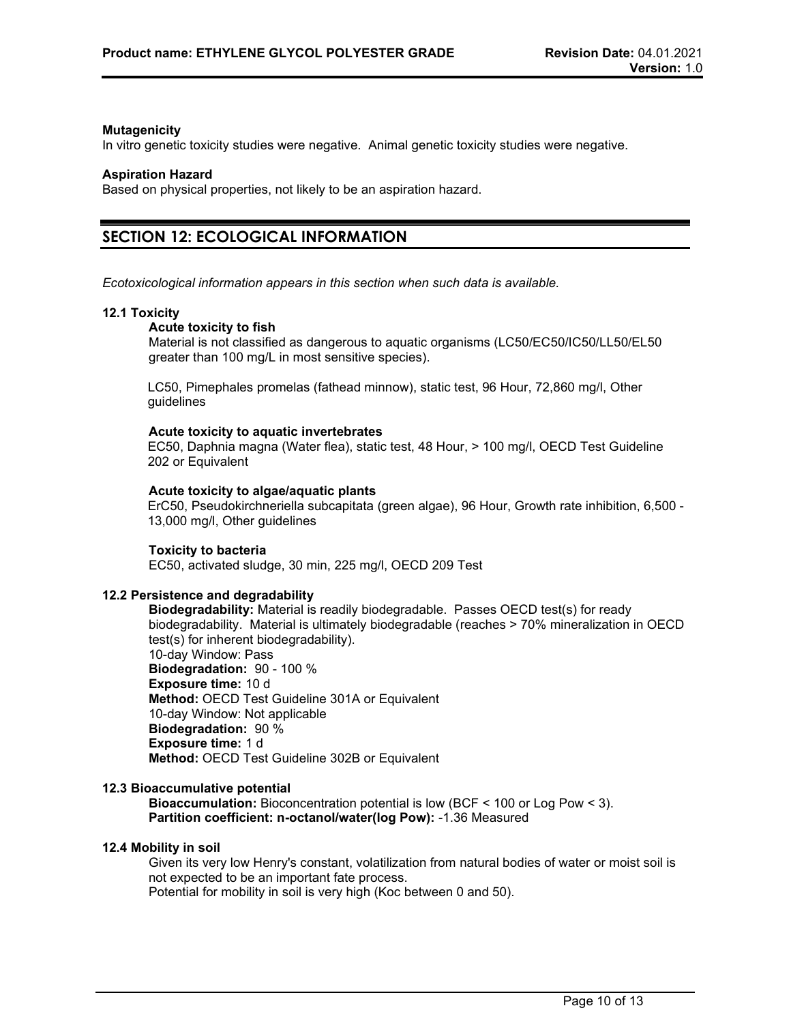### **Mutagenicity**

In vitro genetic toxicity studies were negative. Animal genetic toxicity studies were negative.

#### **Aspiration Hazard**

Based on physical properties, not likely to be an aspiration hazard.

# **SECTION 12: ECOLOGICAL INFORMATION**

*Ecotoxicological information appears in this section when such data is available.*

#### **12.1 Toxicity**

#### **Acute toxicity to fish**

Material is not classified as dangerous to aquatic organisms (LC50/EC50/IC50/LL50/EL50 greater than 100 mg/L in most sensitive species).

LC50, Pimephales promelas (fathead minnow), static test, 96 Hour, 72,860 mg/l, Other guidelines

#### **Acute toxicity to aquatic invertebrates**

EC50, Daphnia magna (Water flea), static test, 48 Hour, > 100 mg/l, OECD Test Guideline 202 or Equivalent

### **Acute toxicity to algae/aquatic plants**

ErC50, Pseudokirchneriella subcapitata (green algae), 96 Hour, Growth rate inhibition, 6,500 - 13,000 mg/l, Other guidelines

### **Toxicity to bacteria**

EC50, activated sludge, 30 min, 225 mg/l, OECD 209 Test

### **12.2 Persistence and degradability**

**Biodegradability:** Material is readily biodegradable. Passes OECD test(s) for ready biodegradability. Material is ultimately biodegradable (reaches > 70% mineralization in OECD test(s) for inherent biodegradability). 10-day Window: Pass **Biodegradation:** 90 - 100 % **Exposure time:** 10 d **Method:** OECD Test Guideline 301A or Equivalent 10-day Window: Not applicable **Biodegradation:** 90 % **Exposure time:** 1 d **Method:** OECD Test Guideline 302B or Equivalent

#### **12.3 Bioaccumulative potential**

**Bioaccumulation:** Bioconcentration potential is low (BCF < 100 or Log Pow < 3). **Partition coefficient: n-octanol/water(log Pow):** -1.36 Measured

### **12.4 Mobility in soil**

Given its very low Henry's constant, volatilization from natural bodies of water or moist soil is not expected to be an important fate process. Potential for mobility in soil is very high (Koc between 0 and 50).

Page 10 of 13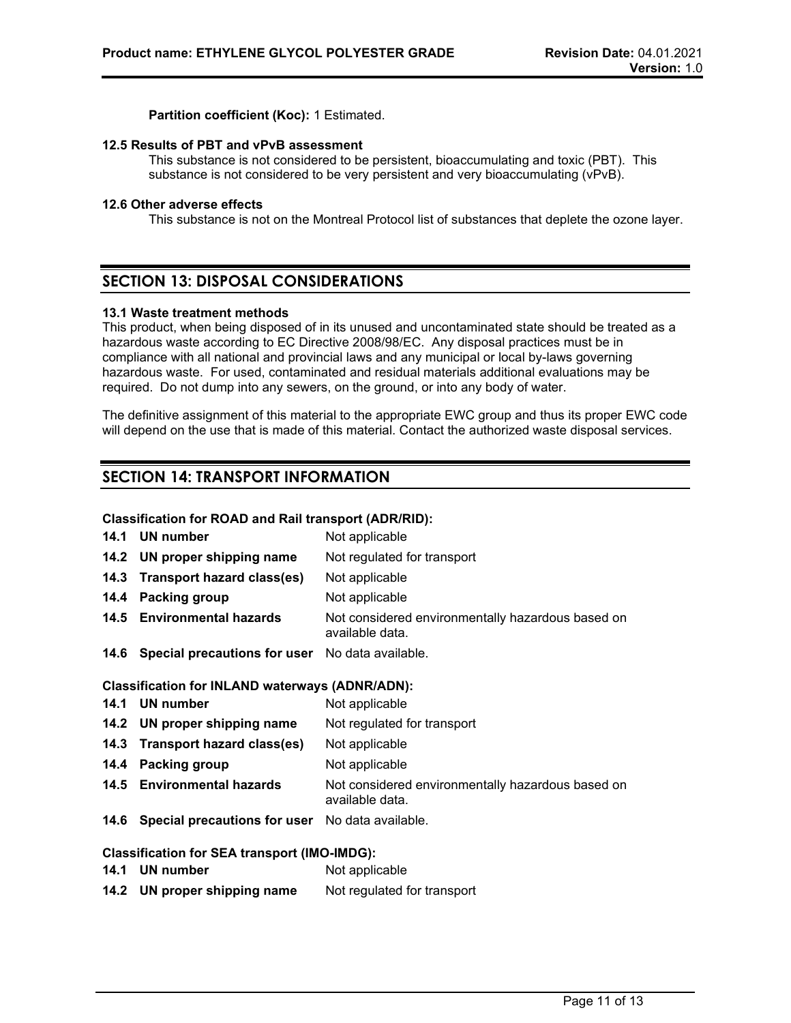**Partition coefficient (Koc):** 1 Estimated.

#### **12.5 Results of PBT and vPvB assessment**

This substance is not considered to be persistent, bioaccumulating and toxic (PBT). This substance is not considered to be very persistent and very bioaccumulating (vPvB).

#### **12.6 Other adverse effects**

This substance is not on the Montreal Protocol list of substances that deplete the ozone layer.

# **SECTION 13: DISPOSAL CONSIDERATIONS**

### **13.1 Waste treatment methods**

This product, when being disposed of in its unused and uncontaminated state should be treated as a hazardous waste according to EC Directive 2008/98/EC. Any disposal practices must be in compliance with all national and provincial laws and any municipal or local by-laws governing hazardous waste. For used, contaminated and residual materials additional evaluations may be required. Do not dump into any sewers, on the ground, or into any body of water.

The definitive assignment of this material to the appropriate EWC group and thus its proper EWC code will depend on the use that is made of this material. Contact the authorized waste disposal services.

# **SECTION 14: TRANSPORT INFORMATION**

### **Classification for ROAD and Rail transport (ADR/RID):**

|      | 14.1 UN number                                         | Not applicable                                                       |
|------|--------------------------------------------------------|----------------------------------------------------------------------|
|      | 14.2 UN proper shipping name                           | Not regulated for transport                                          |
|      | 14.3 Transport hazard class(es)                        | Not applicable                                                       |
| 14.4 | Packing group                                          | Not applicable                                                       |
|      | 14.5 Environmental hazards                             | Not considered environmentally hazardous based on<br>available data. |
|      | 14.6 Special precautions for user No data available.   |                                                                      |
|      | <b>Classification for INLAND waterways (ADNR/ADN):</b> |                                                                      |
|      | 14.1 UN number                                         | Not applicable                                                       |
|      | 14.2 UN proper shipping name                           | Not regulated for transport                                          |
|      | 14.3 Transport hazard class(es)                        | Not applicable                                                       |
| 14.4 | <b>Packing group</b>                                   | Not applicable                                                       |
|      | 14.5 Environmental hazards                             | Not considered environmentally hazardous based on<br>available data. |
|      | 14.6 Special precautions for user No data available.   |                                                                      |
|      | <b>Classification for SEA transport (IMO-IMDG):</b>    |                                                                      |

**14.1 UN number** Not applicable **14.2 UN proper shipping name** Not regulated for transport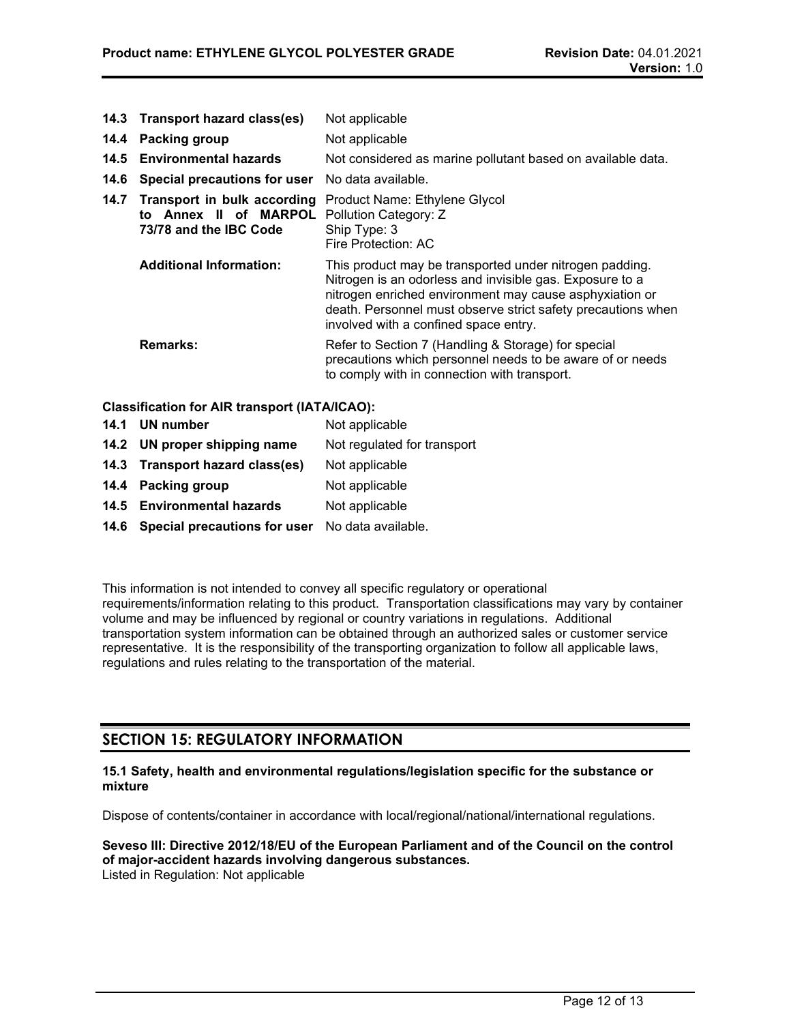- **14.3 Transport hazard class(es)** Not applicable **14.4 Packing group Mot applicable 14.5 Environmental hazards** Not considered as marine pollutant based on available data. **14.6 Special precautions for user** No data available. **14.7 Transport in bulk according to Annex II of MARPOL 73/78 and the IBC Code** Product Name: Ethylene Glycol Pollution Category: Z Ship Type: 3 Fire Protection: AC **Additional Information:** This product may be transported under nitrogen padding. Nitrogen is an odorless and invisible gas. Exposure to a nitrogen enriched environment may cause asphyxiation or death. Personnel must observe strict safety precautions when involved with a confined space entry. **Remarks:** Refer to Section 7 (Handling & Storage) for special precautions which personnel needs to be aware of or needs to comply with in connection with transport. **Classification for AIR transport (IATA/ICAO): 14.1 UN number** Not applicable
- **14.2 UN proper shipping name** Not regulated for transport
- **14.3 Transport hazard class(es)** Not applicable
- **14.4 Packing group** Not applicable
- 14.5 **Environmental hazards** Not applicable
- **14.6 Special precautions for user** No data available.

This information is not intended to convey all specific regulatory or operational requirements/information relating to this product. Transportation classifications may vary by container volume and may be influenced by regional or country variations in regulations. Additional transportation system information can be obtained through an authorized sales or customer service representative. It is the responsibility of the transporting organization to follow all applicable laws, regulations and rules relating to the transportation of the material.

# **SECTION 15: REGULATORY INFORMATION**

### **15.1 Safety, health and environmental regulations/legislation specific for the substance or mixture**

Dispose of contents/container in accordance with local/regional/national/international regulations.

#### **Seveso III: Directive 2012/18/EU of the European Parliament and of the Council on the control of major-accident hazards involving dangerous substances.** Listed in Regulation: Not applicable